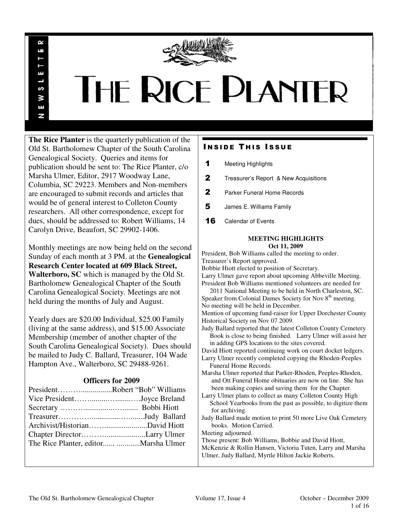

# THE RICE PLANTER

**The Rice Planter** is the quarterly publication of the Old St. Bartholomew Chapter of the South Carolina Genealogical Society. Queries and items for publication should be sent to: The Rice Planter, c/o Marsha Ulmer, Editor, 2917 Woodway Lane, Columbia, SC 29223. Members and Non-members are encouraged to submit records and articles that would be of general interest to Colleton County researchers. All other correspondence, except for dues, should be addressed to: Robert Williams, 14 Carolyn Drive, Beaufort, SC 29902-1406.

R uń

П

S ¥ Ŧ N

Monthly meetings are now being held on the second Sunday of each month at 3 PM. at the **Genealogical Research Center located at 609 Black Street, Walterboro, SC** which is managed by the Old St. Bartholomew Genealogical Chapter of the South Carolina Genealogical Society. Meetings are not held during the months of July and August.

Yearly dues are \$20.00 Individual, \$25.00 Family (living at the same address), and \$15.00 Associate Membership (member of another chapter of the South Carolina Genealogical Society). Dues should be mailed to Judy C. Ballard, Treasurer, 104 Wade Hampton Ave., Walterboro, SC 29488-9261.

# **Officers for 2009**

| PresidentRobert "Bob" Williams |
|--------------------------------|
| Vice PresidentJoyce Breland    |
|                                |
|                                |
|                                |
|                                |
|                                |
|                                |

# **INSIDE THIS ISSUE**

- 1 Meeting Highlights
- **2** Treasurer's Report & New Acquisitions
- 2 Parker Funeral Home Records
- 5 James E. Williams Family
- **16** Calendar of Events

## **MEETING HIGHLIGHTS Oct 11, 2009**

President, Bob Williams called the meeting to order. Treasurer's Report approved.

Bobbie Hiott elected to position of Secretary.

Larry Ulmer gave report about upcoming Abbeville Meeting. President Bob Williams mentioned volunteers are needed for

 2011 National Meeting to be held in North Charleston, SC. Speaker from Colonial Dames Society for Nov 8<sup>th</sup> meeting. No meeting will be held in December.

Mention of upcoming fund-raiser for Upper Dorchester County Historical Society on Nov 07 2009.

Judy Ballard reported that the latest Colleton County Cemetery Book is close to being finished. Larry Ulmer will assist her in adding GPS locations to the sites covered.

David Hiott reported continuing work on court docket ledgers. Larry Ulmer recently completed copying the Rhoden-Peeples

- Funeral Home Records. Marsha Ulmer reported that Parker-Rhoden, Peeples-Rhoden, and Ott Funeral Home obituaries are now on line. She has been making copies and saving them for the Chapter.
- Larry Ulmer plans to collect as many Colleton County High School Yearbooks from the past as possible, to digitize them for archiving.
- Judy Ballard made motion to print 50 more Live Oak Cemetery books. Motion Carried.
- Meeting adjourned.

Those present: Bob Williams, Bobbie and David Hiott,

McKenzie & Rollin Hansen, Victoria Tuten, Larry and Marsha Ulmer, Judy Ballard, Myrtle Hilton Jackie Roberts.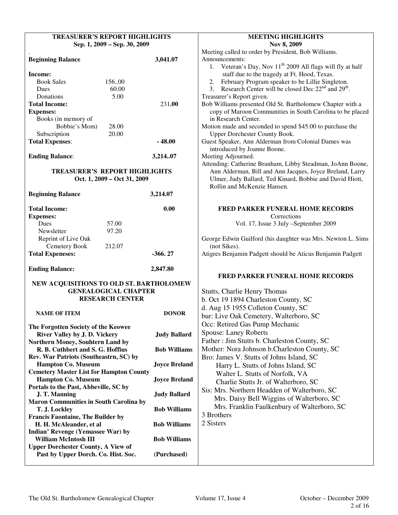| <b>TREASURER'S REPORT HIGHLIGHTS</b>           |                      | <b>MEETING HIGHLIGHTS</b>                                                                                                               |  |  |
|------------------------------------------------|----------------------|-----------------------------------------------------------------------------------------------------------------------------------------|--|--|
| Sep. 1, 2009 - Sep. 30, 2009                   |                      | Nov 8, 2009                                                                                                                             |  |  |
|                                                |                      | Meeting called to order by President, Bob Williams.                                                                                     |  |  |
| <b>Beginning Balance</b>                       | 3,041.07             | Announcements:                                                                                                                          |  |  |
|                                                |                      | 1. Veteran's Day, Nov $11th$ 2009 All flags will fly at half                                                                            |  |  |
| Income:                                        |                      | staff due to the tragedy at Ft. Hood, Texas.                                                                                            |  |  |
| <b>Book Sales</b><br>156.00                    |                      |                                                                                                                                         |  |  |
| 60.00<br>Dues                                  |                      | February Program speaker to be Lillie Singleton.<br>2.<br>3. Research Center will be closed Dec 22 <sup>nd</sup> and 29 <sup>th</sup> . |  |  |
| Donations<br>5.00                              |                      |                                                                                                                                         |  |  |
| <b>Total Income:</b>                           | 231.00               | Treasurer's Report given.                                                                                                               |  |  |
|                                                |                      | Bob Williams presented Old St. Bartholomew Chapter with a<br>copy of Maroon Communities in South Carolina to be placed                  |  |  |
| <b>Expenses:</b>                               |                      | in Research Center.                                                                                                                     |  |  |
| Books (in memory of<br>Bobbie's Mom)           |                      |                                                                                                                                         |  |  |
| 28.00<br>Subscription<br>20.00                 |                      | Motion made and seconded to spend \$45.00 to purchase the<br>Upper Dorchester County Book.                                              |  |  |
|                                                | $-48.00$             | Guest Speaker, Ann Alderman from Colonial Dames was                                                                                     |  |  |
| <b>Total Expenses:</b>                         |                      |                                                                                                                                         |  |  |
|                                                |                      | introduced by Joanne Boone.                                                                                                             |  |  |
| <b>Ending Balance:</b>                         | 3,21407              | Meeting Adjourned.                                                                                                                      |  |  |
|                                                |                      | Attending: Catherine Branham, Libby Steadman, JoAnn Boone,                                                                              |  |  |
| <b>TREASURER'S REPORT HIGHLIGHTS</b>           |                      | Ann Alderman, Bill and Ann Jacques, Joyce Breland, Larry                                                                                |  |  |
| Oct. 1, 2009 – Oct 31, 2009                    |                      | Ulmer, Judy Ballard, Ted Kinard, Bobbie and David Hiott,<br>Rollin and McKenzie Hansen.                                                 |  |  |
|                                                |                      |                                                                                                                                         |  |  |
| <b>Beginning Balance</b>                       | 3,214.07             |                                                                                                                                         |  |  |
| <b>Total Income:</b>                           |                      |                                                                                                                                         |  |  |
|                                                | 0.00                 | <b>FRED PARKER FUNERAL HOME RECORDS</b>                                                                                                 |  |  |
| <b>Expenses:</b><br>Dues<br>57.00              |                      | Corrections                                                                                                                             |  |  |
|                                                |                      | Vol. 17, Issue 3 July -September 2009                                                                                                   |  |  |
| Newsletter<br>97.20                            |                      |                                                                                                                                         |  |  |
| Reprint of Live Oak<br>Cemetery Book<br>212.07 |                      | George Edwin Guilford (his daughter was Mrs. Newton L. Sims<br>(not Sikes).                                                             |  |  |
|                                                | $-366.27$            | Atigres Benjamin Padgett should be Aticus Benjamin Padgett                                                                              |  |  |
| <b>Total Expeneses:</b>                        |                      |                                                                                                                                         |  |  |
| <b>Ending Balance:</b>                         | 2,847.80             |                                                                                                                                         |  |  |
|                                                |                      | <b>FRED PARKER FUNERAL HOME RECORDS</b>                                                                                                 |  |  |
| NEW ACQUISITIONS TO OLD ST. BARTHOLOMEW        |                      |                                                                                                                                         |  |  |
| <b>GENEALOGICAL CHAPTER</b>                    |                      | <b>Stutts, Charlie Henry Thomas</b>                                                                                                     |  |  |
| <b>RESEARCH CENTER</b>                         |                      | b. Oct 19 1894 Charleston County, SC                                                                                                    |  |  |
|                                                |                      | d. Aug 15 1955 Colleton County, SC                                                                                                      |  |  |
| <b>NAME OF ITEM</b>                            | <b>DONOR</b>         |                                                                                                                                         |  |  |
|                                                |                      | bur: Live Oak Cemetery, Walterboro, SC                                                                                                  |  |  |
| The Forgotten Society of the Keowee            |                      | Occ: Retired Gas Pump Mechanic                                                                                                          |  |  |
| River Valley by J. D. Vickery                  | <b>Judy Ballard</b>  | <b>Spouse: Laney Roberts</b>                                                                                                            |  |  |
| Northern Money, Souhtern Land by               |                      | Father: Jim Stutts b. Charleston County, SC                                                                                             |  |  |
| R. B. Cuthbert and S. G. Hoffius               | <b>Bob Williams</b>  | Mother: Nora Johnson b.Charleston County, SC                                                                                            |  |  |
| Rev. War Patriots (Southeastrn, SC) by         |                      | Bro: James V. Stutts of Johns Island, SC                                                                                                |  |  |
| <b>Hampton Co. Museum</b>                      | <b>Joyce Breland</b> | Harry L. Stutts of Johns Island, SC                                                                                                     |  |  |
| <b>Cemetery Master List for Hampton County</b> |                      | Walter L. Stutts of Norfolk, VA                                                                                                         |  |  |
| <b>Hampton Co. Museum</b>                      | <b>Joyce Breland</b> | Charlie Stutts Jr. of Walterboro, SC                                                                                                    |  |  |
| Portals to the Past, Abbeville, SC by          |                      | Sis: Mrs. Northern Headden of Walterboro, SC                                                                                            |  |  |
| <b>Judy Ballard</b><br>J. T. Manning           |                      | Mrs. Daisy Bell Wiggins of Walterboro, SC                                                                                               |  |  |
| <b>Maron Communities in South Carolina by</b>  |                      | Mrs. Franklin Faulkenbury of Walterboro, SC                                                                                             |  |  |
| T. J. Lockley                                  | <b>Bob Williams</b>  |                                                                                                                                         |  |  |
| <b>Francis Faontaine, The Builder by</b>       |                      | 3 Brothers                                                                                                                              |  |  |
| H. H. McAleander, et al                        | <b>Bob Williams</b>  | 2 Sisters                                                                                                                               |  |  |
| Indian' Revenge (Yemassee War) by              |                      |                                                                                                                                         |  |  |
| <b>William McIntosh III</b>                    | <b>Bob Williams</b>  |                                                                                                                                         |  |  |
| <b>Upper Dorchester County, A View of</b>      |                      |                                                                                                                                         |  |  |
| Past by Upper Dorch. Co. Hist. Soc.            | (Purchased)          |                                                                                                                                         |  |  |
|                                                |                      |                                                                                                                                         |  |  |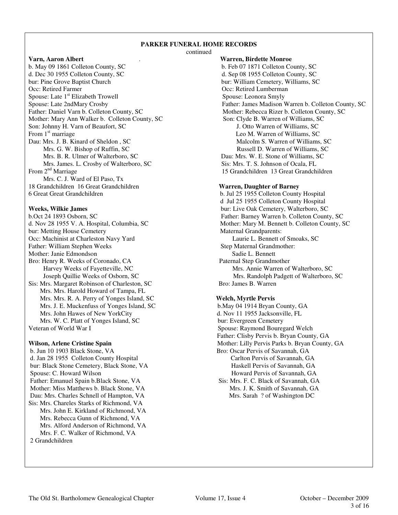## **PARKER FUNERAL HOME RECORDS**

continued

b. May 09 1861 Colleton County, SC b. Feb 07 1871 Colleton County, SC d. Dec 30 1955 Colleton County, SC d. Sep 08 1955 Colleton County, SC bur: Pine Grove Baptist Church bur: William Cemetery, Williams, SC Occ: Retired Farmer Cocc: Retired Farmer Cocc: Retired Lumberman Spouse: Late 1<sup>st</sup> Elizabeth Trowell Spouse: Leonora Smyly<br>Spouse: Late 2ndMary Crosby Father: James Madison V Mother: Mary Ann Walker b. Colleton County, SC Son: Johnny H. Varn of Beaufort, SC J. Otto Warren of Williams, SC From 1<sup>st</sup> marriage Leo M. Warren of Williams, SC Dau: Mrs. J. B. Kinard of Sheldon , SC Malcolm S. Warren of Williams, SC Mrs. G. W. Bishop of Ruffin, SC Russell D. Warren of Williams, SC Mrs. B. R. Ulmer of Walterboro, SC Dau: Mrs. W. E. Stone of Williams, SC Mrs. James. L. Crosby of Walterboro, SC Sis: Mrs. T. S. Johnson of Ocala, FL<br>
From 2<sup>nd</sup> Marriage 15 Grandchildren 13 Great Grandch Mrs. C. J. Ward of El Paso, Tx 18 Grandchildren 16 Great Grandchildren **Warren, Daughter of Barney** 6 Great Great Grandchildren b. Jul 25 1955 Colleton County Hospital

b.Oct 24 1893 Osborn, SC Father: Barney Warren b. Colleton County, SC bur: Metting House Cemetery Occ: Machinist at Charleston Navy Yard Laurie L. Bennett of Smoaks, SC Father: William Stephen Weeks Step Maternal Grandmother: Mother: Janie Edmondson<br>Step Maternal Grandmother: Mother: Janie Edmondson Mother: Janie Edmondson Bro: Henry R. Weeks of Coronado, CA Paternal Step Grandmother Sis: Mrs. Margaret Robinson of Charleston, SC Bro: James B. Warren Mrs. Mrs. Harold Howard of Tampa, FL Mrs. Mrs. R. A. Perry of Yonges Island, SC **Welch, Myrtle Pervis** Mrs. J. E. Muckenfuss of Yonges Island, SC b.May 04 1914 Bryan County, GA Mrs. John Hawes of New YorkCity d. Nov 11 1955 Jacksonville, FL Mrs. W. C. Platt of Yonges Island, SC bur: Evergreen Cemetery

b. Jun 10 1903 Black Stone, VA Bro: Oscar Pervis of Savannah, GA d. Jan 28 1955 Colleton County Hospital Carlton Pervis of Savannah, GA bur: Black Stone Cemetery, Black Stone, VA Haskell Pervis of Savannah, GA Spouse: C. Howard Wilson **Howard Pervis of Savannah, GA** Father: Emanuel Spain b.Black Stone, VA Sis: Mrs. F. C. Black of Savannah, GA Mother: Miss Matthews b. Black Stone, VA Mrs. J. K. Smith of Savannah, GA Dau: Mrs. Charles Schnell of Hampton, VA Mrs. Sarah ? of Washington DC Sis: Mrs. Chareles Starks of Richmond, VA Mrs. John E. Kirkland of Richmond, VA Mrs. Rebecca Gunn of Richmond, VA Mrs. Alford Anderson of Richmond, VA Mrs. F. C. Walker of Richmond, VA 2 Grandchildren

**Varn, Aaron Albert** . **Warren, Birdette Monroe** Spouse: Late 2ndMary Crosby<br>
Father: Daniel Varn b. Colleton County, SC<br>
Mother: Rebecca Rizer b. Colleton County, SC<br>
Mother: Rebecca Rizer b. Colleton County, SC Mother: Rebecca Rizer b. Colleton County, SC<br>Son: Clyde B. Warren of Williams, SC 15 Grandchildren 13 Great Grandchildren

 d Jul 25 1955 Colleton County Hospital **Weeks, Wilkie James** bur: Live Oak Cemetery, Walterboro, SC d. Nov 28 1955 V. A. Hospital, Columbia, SC Mother: Mary M. Bennett b. Colleton County, SC bur: Metting House Cemetery Maternal Grandparents: Harvey Weeks of Fayetteville, NC<br>
Joseph Quillie Weeks of Osborn, SC<br>
Mrs. Annie Warren of Walterboro, SC<br>
Mrs. Randolph Padgett of Walterboro, Mrs. Randolph Padgett of Walterboro, SC

Veteran of World War I Spouse: Raymond Bouregard Welch Father: Clisby Pervis b. Bryan County, GA **Wilson, Arlene Cristine Spain** Mother: Lilly Pervis Parks b. Bryan County, GA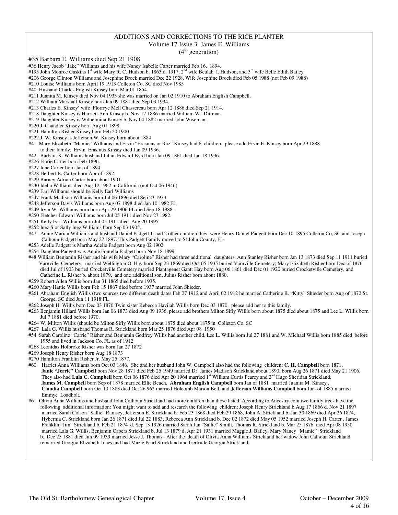## ADDITIONS AND CORRECTIONS TO THE RICE PLANTER

#### Volume 17 Issue 3 James E. Williams

 $(4<sup>th</sup> generation)$ 

#35 Barbara E. Williams died Sep 21 1908

- #36 Henry Jacob "Jake" Williams and his wife Nancy Isabelle Carter married Feb 16, 1894.
- #195 John Monroe Gaskins 1<sup>st</sup> wife Mary R. C. Hudson b. 1863 d. 1917, 2<sup>nd</sup> wife Beulah I. Hudson, and 3<sup>rd</sup> wife Belle Edith Bailey
- #206 George Clinton Williams and Josephine Brock married Dec 22 1928. Wife Josephine Brock died Feb 05 1988 (not Feb 09 1988)
- #210 Louise Williams born April 19 1913 Colleton Co, SC died Nov 1985
- #40 Husband Charles English Kinsey born Mar 01 1854
- #211 Juanita M. Kinsey died Nov 04 1933 she was married on Jan 02 1910 to Abraham English Campbell.
- #212 William Marshall Kinsey born Jan 09 1881 died Sep 03 1934.
- #213 Charles E. Kinsey' wife Florrrye Mell Chassereau born Apr 12 1886 died Sep 21 1914.
- #218 Daughter Kinsey is Harriett Ann Kinsey b. Nov 17 1886 married William W. Dittman.
- #219 Daughter Kinsey is Wilhelmina Kinsey b. Nov 04 1882 married John Wiseman.
- #220 J. Chandler Kinsey born Aug 01 1898
- #221 Hamilton Risher Kinsey born Feb 20 1900
- #222 J. W. Kinsey is Jefferson W. Kinsey born about 1884
- #41 Mary Elizabeth "Mamie" Williams and Ervin "Erasmus or Raz" Kinsey had 6 children, please add Ervin E. Kinsey born Apr 29 1888 to their family. Ervin Erasmus Kinsey died Jan 09 1936.
- #42 Barbara K. Williams husband Julian Edward Byrd born Jan 09 1861 died Jan 18 1936.
- #226 Florie Carter born Feb 1896.
- #227 Ione Carter born Jan of 1894
- #228 Herbert B. Carter born Apr of 1892.
- #229 Barney Adrian Carter born about 1901.
- #230 Idella Williams died Aug 12 1962 in California (not Oct 06 1946)
- #239 Earl Williams should be Kelly Earl Williams
- #247 Frank Madison Williams born Jul 06 1896 died Sep 23 1973
- #248 Jefferson Davis Williams born Aug 07 1898 died Jan 10 1982 FL
- #249 Irvin W. Williams born born Apr 29 1906 FL died Sep 18 1988.
- #250 Fletcher Edward Williams born Jul 05 1911 died Nov 27 1982.
- #251 Kelly Earl Williams born Jul 05 1911 died Aug 20 1995
- #252 Inez S or Sally Inez Williams born Sep 03 1905.
- #47 Annie Marian Williams and husband Daniel Padgett Jr had 2 other children they were Henry Daniel Padgett born Dec 10 1895 Colleton Co, SC and Joseph Calhoun Padgett born May 27 1897. This Padgett Family moved to St John County, FL.
- #253 Adelle Padgett is Martha Adelle Padgett born Aug 02 1902
- #254 Daughter Padgett was Annie Fontella Padgett born Nov 18 1899.
- #48 William Benjamin Risher and his wife Mary "Caroline" Risher had three additional daughters: Ann Stanley Risher born Jan 13 1873 died Sep 11 1911 buried Varnville Cemetery, married Wellington O. Hay born Sep 23 1869 died Oct 05 1935 buried Varnville Cemetery; Mary Elizabeth Risher born Dec of 1876 died Jul of 1903 buried Crocketville Cemetery married Plantagenet Gantt Hay born Aug 06 1861 died Dec 01 1920 buried Crocketville Cemetery, and Catherine L. Risher b. about 1879, and one additional son, Julius Risher born about 1880.
- #259 Robert Allen Willis born Jan 31 1865 died before 1935.
- #260 Mary Hattie Willis born Feb 15 1867 died before 1937 married John Shieder.
- #261 Abraham English Willis (two sources two different death dates Feb 27 1912 and April 02 1912 he married Catherine R. "Kitty" Shieder born Aug of 1872 St. George, SC died Jun 11 1918 FL
- #262 Joseph H. Willis born Dec 03 1870 Twin sister Rebecca Havilah Willis born Dec 03 1870, please add her to this family.
- #263 Benjamin Hillard Willis born Jan 06 1873 died Aug 09 1936, please add brothers Milton Sifly Willis born about 1875 died about 1875 and Lee L. Willis born Jul 7 1881 died before 1970.
- #264 W. Milton Willis (should be Milton Sifly Willis born about 1875 died about 1875 in Colleton Co, SC
- #267 Lala G. Willis husband Thomas R. Strickland born Mar 25 1876 died Apr 08 1950
- #54 Sarah Caroline "Carrie" Risher and Benjamin Godfrey Willis had another child, Lee L. Willis born Jul 27 1881 and W. Michael Willis born 1885 died before 1955 and lived in Jackson Co, FL as of 1912
- #268 Leonidas Holbroke Risher was born Jan 27 1872
- #269 Joseph Henry Risher born Aug 18 1873
- #270 Hamilton Franklin Risher Jr. May 25 1877.
- #60 Harriet Anna Williams born Oct 03 1846. She and her husband John W. Campbell also had the following children: **C. H. Campbell** born 1871, **Janie "Jerrie" Campbell** born Nov 28 1871 died Feb 25 1949 married Dr. James Madison Strickland about 1890, born Aug 26 1871 died May 21 1906. They also had Lula C. Campbell born Oct 06 1876 died Apr 20 1964 married 1<sup>st</sup> William Curtis Pearcy and 2<sup>nd</sup> Hugo Sheridan Strickland, **James M. Campbell** born Sep of 1878 married Ellie Beach, A**braham English Campbell** born Jan of 1881 married Juanita M. Kinsey , **Claudia Campbell** born Oct 10 1883 died Oct 26 962 married Holcomb Marion Bell, and **Jefferson Williams Campbell** born Jun of 1885 married Emmye Loadholt,.
- #61 Olivia Anna Williams and husband John Calhoun Strickland had more children than those listed: According to Ancestry.com two family trees have the following additional information: You might want to add and research the following children: Joseph Henry Strickland b.Aug 17 1866 d. Nov 21 1897 married Sarah Colson "Sallie" Ramsey, Jefferson E. Strickland b. Feb 23 1868 died Feb 29 1868, John A. Strickland b. Jan 30 1869 died Apr 26 1874, Hybernia C. Strickland born Jan 26 1871 died Jul 22 1883, Rebecca Ann Strickland b. Dec 02 1872 died May 05 1952 married Joseph H. Carter , James Franklin "Jim" Strickland b. Feb 21 1874 d. Sep 13 1926 married Sarah Jan "Sallie" Smith, Thomas R. Strickland b. Mar 25 1876 died Apr 08 1950 married Lala G. Willis, Benjamin Capers Strickland b. Jul 13 1879 d. Apr 21 1931 married Maggie J. Bailey, Mary Nancy "Mamie" Strickland b.. Dec 25 1881 died Jun 09 1939 married Jesse J. Thomas. After the death of Olivia Anna Williams Strickland her widow John Calhoun Strickland remarried Georgia Elizabeth Jones and had Mazie Pearl Strickland and Gertrude Georgia Strickland.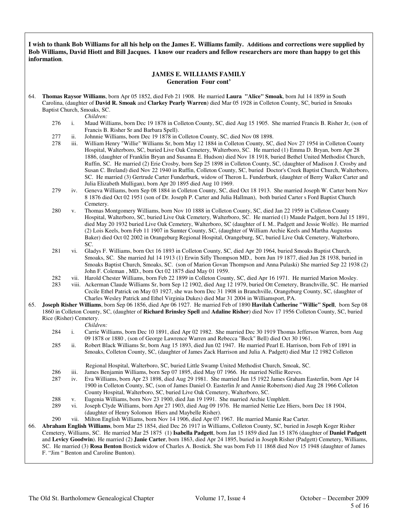**I wish to thank Bob Williams for all his help on the James E. Williams family. Additions and corrections were supplied by Bob Williams, David Hiott and Bill Jacques. I know our readers and fellow researchers are more than happy to get this information**.

### **JAMES E. WILLIAMS FAMILY Generation Four cont'**

64. **Thomas Raysor Williams**, born Apr 05 1852, died Feb 21 1908. He married **Laura "Alice" Smoak**, born Jul 14 1859 in South Carolina, (daughter of **David R. Smoak** and **Clarkey Pearly Warren**) died Mar 05 1928 in Colleton County, SC, buried in Smoaks Baptist Church, Smoaks, SC.

*Children:*

- 276 i. Maud Williams, born Dec 19 1878 in Colleton County, SC, died Aug 15 1905. She married Francis B. Risher Jr, (son of Francis B. Risher Sr and Barbara Spell).
- 277 ii. Johnnie Williams, born Dec 19 1878 in Colleton County, SC, died Nov 08 1898.
- 278 iii. William Henry "Willie" Williams Sr, born May 12 1884 in Colleton County, SC, died Nov 27 1954 in Colleton County Hospital, Walterboro, SC, buried Live Oak Cemetery, Walterboro, SC. He married (1) Emma D. Bryan, born Apr 28 1886, (daughter of Franklin Bryan and Susanna E. Hudson) died Nov 18 1918, buried Bethel United Methodist Church, Ruffin, SC. He married (2) Erie Crosby, born Sep 25 1898 in Colleton County, SC, (daughter of Madison J. Crosby and Susan C. Breland) died Nov 22 1940 in Ruffin, Colleton County, SC, buried Doctor's Creek Baptist Church, Walterboro, SC. He married (3) Gertrude Carter Funderburk, widow of Theron L. Funderburk, (daughter of Berry Walker Carter and Julia Elizabeth Mulligan), born Apr 20 1895 died Aug 10 1969.
- 279 iv. Geneva Williams, born Sep 08 1884 in Colleton County, SC, died Oct 18 1913. She married Joseph W. Carter born Nov 8 1876 died Oct 02 1951 (son of Dr. Joseph P. Carter and Julia Hallman), both buried Carter s Ford Baptist Church Cemetery.
- 280 v. Thomas Montgomery Williams, born Nov 10 1888 in Colleton County, SC, died Jan 22 1959 in Colleton County Hospital, Walterboro, SC, buried Live Oak Cemetery, Walterboro, SC. He married (1) Maude Padgett, born Jul 15 1891, died May 20 1932 buried Live Oak Cemetery, Walterboro, SC (daughter of I. M.. Padgett and Jessie Wolfe). He married (2) Lois Keels, born Feb 11 1907 in Sumter County, SC, (daughter of William Archie Keels and Martha Augustus Baker) died Oct 02 2002 in Orangeburg Regional Hospital, Orangeburg, SC, buried Live Oak Cemetery, Walterboro, SC.
- 281 vi. Gladys F. Williams, born Oct 16 1893 in Colleton County, SC, died Apr 20 1964, buried Smoaks Baptist Church, Smoaks, SC. She married Jul 14 1913 (1) Erwin Sifly Thompson MD., born Jun 19 1877, died Jun 28 1938, buried in Smoaks Baptist Church, Smoaks, SC. (son of Marion Govan Thompson and Anna Pulaski) She married Sep 22 1938 (2) John F. Coleman , MD., born Oct 02 1875 died May 01 1959.
- 282 vii. Harold Chester Williams, born Feb 22 1899 in Colleton County, SC, died Apr 16 1971. He married Marion Mosley.
- 283 viii. Ackerman Claude Williams Sr, born Sep 12 1902, died Aug 12 1979, buried Ott Cemetery, Branchville, SC. He married Cecile Ethel Patrick on May 03 1927, she was born Dec 31 1908 in Branchville, Orangeburg County, SC, (daughter of Charles Wesley Patrick and Ethel Virginia Dukes) died Mar 31 2004 in Williamsport, PA.
- 65. **Joseph Risher Williams**, born Sep 06 1856, died Apr 06 1927. He married Feb of 1890 **Havilah Catherine "Willie" Spell**, born Sep 08 1860 in Colleton County, SC, (daughter of **Richard Brinsley Spell** and **Adaline Risher**) died Nov 17 1956 Colleton County, SC, buried Rice (Risher) Cemetery.

- *Children:*<br>284 i. Carrie Wi Carrie Williams, born Dec 10 1891, died Apr 02 1982. She married Dec 30 1919 Thomas Jefferson Warren, born Aug 09 1878 or 1880 , (son of George Lawrence Warren and Rebecca "Beck" Bell) died Oct 30 1961.
- 285 ii. Robert Black Williams Sr, born Aug 15 1893, died Jun 02 1947. He married Pearl E. Harrison, born Feb of 1891 in Smoaks, Colleton County, SC, (daughter of James Zack Harrison and Julia A. Padgett) died Mar 12 1982 Colleton

Regional Hospital, Walterboro, SC, buried Little Swamp United Methodist Church, Smoak, SC.

- 286 iii. James Benjamin Williams, born Sep 07 1895, died May 07 1966. He married Nellie Reeves.
- 287 iv. Eva Williams, born Apr 23 1898, died Aug 29 1981. She married Jun 15 1922 James Graham Easterlin, born Apr 14 1900 in Colleton County, SC, (son of James Daniel O. Easterlin Jr and Annie Robertson) died Aug 28 1966 Colleton County Hospital, Walterboro, SC, buried Live Oak Cemetery, Walterboro, SC.
- 288 v. Eugenia Williams, born Nov 23 1900, died Jan 19 1991. She married Archie Umphlett.
- vi. Joseph Clyde Williams, born Apr 27 1903, died Aug 09 1976. He married Nettie Lee Hiers, born Dec 18 1904, (daughter of Henry Solomon Hiers and Maybelle Risher).
- 290 vii. Milton English Williams, born Nov 14 1906, died Apr 07 1967. He married Mamie Rae Carter.

66. **Abraham English Williams**, born Mar 25 1854, died Dec 26 1917 in Williams, Colleton County, SC, buried in Joseph Koger Risher Cemetery, Williams, SC. He married Mar 25 1875 (1) **Isabella Padgett**, born Jan 15 1859 died Jan 15 1876 (daughter of **Daniel Padgett** and **Levicy Goodwin**). He married (2) **Janie Carter**, born 1863, died Apr 24 1895, buried in Joseph Risher (Padgett) Cemetery, Williams, SC. He married (3) **Rosa Benton** Bostick widow of Charles A. Bostick. She was born Feb 11 1868 died Nov 15 1948 (daughter of James F. "Jim " Benton and Caroline Bunton).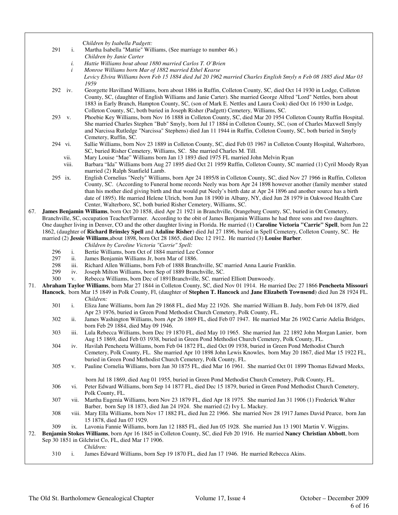|     |            |           | Children by Isabella Padgett:                                                                                                                |
|-----|------------|-----------|----------------------------------------------------------------------------------------------------------------------------------------------|
|     | 291        | i.        | Martha Isabella "Mattie" Williams, (See marriage to number 46.)                                                                              |
|     |            |           | Children by Janie Carter                                                                                                                     |
|     |            | i.        | Hattie Williams bout about 1880 married Carlos T. O'Brien                                                                                    |
|     |            | i         | Monroe Williams born Mar of 1882 married Ethel Kearse                                                                                        |
|     |            |           | Levicy Elvira Williams born Feb 15 1884 died Jul 20 1962 married Charles English Smyly n Feb 08 1885 died Mar 03                             |
|     |            |           | 1959                                                                                                                                         |
|     | 292 iv.    |           | Georgette Havilland Williams, born about 1886 in Ruffin, Colleton County, SC, died Oct 14 1930 in Lodge, Colleton                            |
|     |            |           | County, SC, (daughter of English Williams and Janie Carter). She married George Alfred "Lord" Nettles, born about                            |
|     |            |           | 1883 in Early Branch, Hampton County, SC, (son of Mark E. Nettles and Laura Cook) died Oct 16 1930 in Lodge,                                 |
|     |            |           | Colleton County, SC, both buried in Joseph Risher (Padgett) Cemetery, Williams, SC.                                                          |
|     | 293 v.     |           | Phoebie Key Williams, born Nov 16 1888 in Colleton County, SC, died Mar 20 1954 Colleton County Ruffin Hospital.                             |
|     |            |           | She married Charles Stephen "Bub" Smyly, born Jul 17 1884 in Colleton County, SC, (son of Charles Maxwell Smyly                              |
|     |            |           | and Narcissa Rutledge "Narcissa" Stephens) died Jan 11 1944 in Ruffin, Colleton County, SC, both buried in Smyly                             |
|     | 294 vi.    |           | Cemetery, Ruffin, SC.<br>Sallie Williams, born Nov 23 1889 in Colleton County, SC, died Feb 03 1967 in Colleton County Hospital, Walterboro, |
|     |            |           | SC, buried Risher Cemetery, Williams, SC. She married Charles M. Till.                                                                       |
|     |            | vii.      | Mary Louise "Mae" Williams born Jan 13 1893 died 1975 FL married John Melvin Ryan                                                            |
|     |            | viii.     | Barbara "Ida" Williams born Aug 27 1895 died Oct 21 1959 Ruffin, Colleton County, SC married (1) Cyril Moody Ryan                            |
|     |            |           | married (2) Ralph Stanfield Lamb.                                                                                                            |
|     | 295 ix.    |           | English Cornelius "Neely" Williams, born Apr 24 1895/8 in Colleton County, SC, died Nov 27 1966 in Ruffin, Colleton                          |
|     |            |           | County, SC. (According to Funeral home records Neely was born Apr 24 1898 however another (family member stated                              |
|     |            |           | than his mother died giving birth and that would put Neely's birth date at Apr 24 1896 and another source has a birth                        |
|     |            |           | date of 1895). He married Helene Ulrich, born Jun 18 1900 in Albany, NY, died Jun 28 1979 in Oakwood Health Care                             |
|     |            |           | Center, Walterboro, SC, both buried Risher Cemetery, Williams, SC.                                                                           |
| 67. |            |           | James Benjamin Williams, born Oct 20 1858, died Apr 21 1921 in Branchville, Orangeburg County, SC, buried in Ott Cemetery,                   |
|     |            |           | Branchville, SC, occupation Teacher/Farmer. According to the obit of James Benjamin Williams he had three sons and two daughters.            |
|     |            |           | One daugher living in Denver, CO and the other daughter living in Florida. He married (1) Caroline Victoria "Carrie" Spell, born Jun 22      |
|     |            |           | 1862, (daughter of Richard Brinsley Spell and Adaline Risher) died Jul 27 1896, buried in Spell Cemetery, Colleton County, SC. He            |
|     |            |           | married (2) Jessie Williams, about 1898, born Oct 28 1865, died Dec 12 1912. He married (3) Louise Barber.                                   |
|     |            |           | Children by Caroline Victoria "Carrie" Spell:                                                                                                |
|     | 296<br>297 | i.<br>ii. | Bertie Williams, born Oct of 1884 married Lee Connor<br>James Benjamin Williams Jr, born Mar of 1886.                                        |
|     | 298        | iii.      | Richard Allen Williams, born Feb of 1888 Branchville, SC married Anna Laurie Franklin.                                                       |
|     | 299        | iv.       | Joseph Milton Williams, born Sep of 1889 Branchville, SC.                                                                                    |
|     | 300        | V.        | Rebecca Williams, born Dec of 1891Branchville, SC. married Elliott Dunwoody.                                                                 |
| 71. |            |           | Abraham Taylor Williams, born Mar 27 1844 in Colleton County, SC, died Nov 01 1914. He married Dec 27 1866 Pencheeta Missouri                |
|     |            |           | Hancock, born Mar 15 1849 in Polk County, Fl, (daughter of Stephen T. Hancock and Jane Elizabeth Townsend) died Jun 28 1924 FL.              |
|     |            |           | Children:                                                                                                                                    |
|     | 301        | i.        | Eliza Jane Williams, born Jan 29 1868 FL, died May 22 1926. She married William B. Judy, born Feb 04 1879, died                              |
|     |            |           | Apr 23 1976, buried in Green Pond Methodist Church Cemetery, Polk County, FL.                                                                |
|     | 302        | ii.       | James Washington Williams, born Apr 26 1869 FL, died Feb 07 1947. He married Mar 26 1902 Carrie Adelia Bridges,                              |
|     |            |           | born Feb 29 1884, died May 09 1946.                                                                                                          |
|     | 303        | iii.      | Lula Rebecca Williams, born Dec 19 1870 FL, died May 10 1965. She married Jan 22 1892 John Morgan Lanier, born                               |
|     |            |           | Aug 15 1869, died Feb 03 1938, buried in Green Pond Methodist Church Cemetery, Polk County, FL.                                              |
|     | 304        | iv.       | Havilah Pencheeta Williams, born Feb 04 1872 FL, died Oct 09 1938, buried in Green Pond Methodist Church                                     |
|     |            |           | Cemetery, Polk County, FL. She married Apr 10 1898 John Lewis Knowles, born May 20 1867, died Mar 15 1922 FL,                                |
|     |            |           | buried in Green Pond Methodist Church Cemetery, Polk County, FL.                                                                             |
|     | 305        | V.        | Pauline Cornelia Williams, born Jan 30 1875 FL, died Mar 16 1961. She married Oct 01 1899 Thomas Edward Meeks,                               |
|     |            |           | born Jul 18 1869, died Aug 01 1955, buried in Green Pond Methodist Church Cemetery, Polk County, FL.                                         |
|     | 306        | V1.       | Peter Edward Williams, born Sep 14 1877 FL, died Dec 15 1879, buried in Green Pond Methodist Church Cemetery,                                |
|     |            |           | Polk County, FL.                                                                                                                             |
|     | 307        |           | vii. Martha Eugenia Williams, born Nov 23 1879 FL, died Apr 18 1975. She married Jan 31 1906 (1) Frederick Walter                            |
|     |            |           | Barber, born Sep 18 1873, died Jan 24 1924. She married (2) Ivy L. Mackey.                                                                   |
|     | 308        |           | viii. Mary Ella Williams, born Nov 17 1882 FL, died Jun 22 1966. She married Nov 28 1917 James David Pearce, born Jan                        |
|     |            |           | 15 1878, died Jun 07 1929.                                                                                                                   |
|     | 309        | ix.       | Lavonia Fannie Williams, born Jan 12 1885 FL, died Jun 05 1928. She married Jun 13 1901 Martin V. Wiggins.                                   |
| 72. |            |           | Benjamin Stokes Williams, born Apr 16 1845 in Colleton County, SC, died Feb 20 1916. He married Nancy Christian Abbott, born                 |
|     |            |           | Sep 30 1851 in Gilchrist Co, FL, died Mar 17 1906.                                                                                           |
|     |            |           | Children:                                                                                                                                    |
|     | 310        | i.        | James Edward Williams, born Sep 19 1870 FL, died Jan 17 1946. He married Rebecca Akins.                                                      |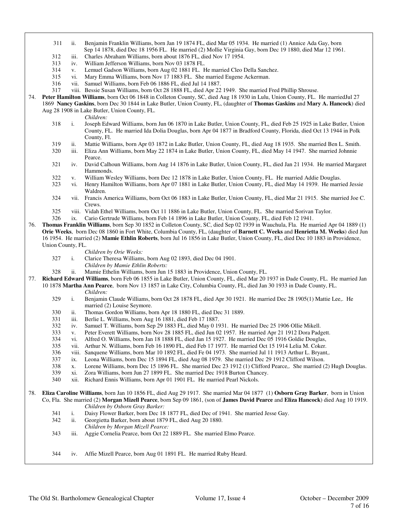- 311 ii. Benjamin Franklin Williams, born Jan 19 1874 FL, died Mar 05 1934. He married (1) Annice Ada Gay, born Sep 14 1878, died Dec 18 1956 FL. He married (2) Mollie Virginia Gay, born Dec 19 1880, died Mar 12 1961.
- iii. Charles Abraham Williams, born about 1876 FL, died Nov 17 1954.
- 313 iv. William Jefferson Williams, born Nov 03 1878 FL.
- 314 v. Lemuel Gadson Williams, born Aug 02 1881 FL. He married Cleo Della Sanchez.
- 315 vi. Mary Emma Williams, born Nov 17 1883 FL. She married Eugene Ackerman.
- 316 vii. Samuel Williams, born Feb 06 1886 FL, died Jul 14 1887.
- 317 viii. Bessie Susan Williams, born Oct 28 1888 FL, died Apr 22 1949. She married Fred Phillip Shrouse.
- 74. **Peter Hamilton Williams**, born Oct 06 1848 in Colleton County, SC, died Aug 18 1930 in Lulu, Union County, FL. He marriedJul 27 1869 **Nancy Gaskins**, born Dec 30 1844 in Lake Butler, Union County, FL, (daughter of **Thomas Gaskins** and **Mary A. Hancock**) died Aug 28 1908 in Lake Butler, Union County, FL.

*Children:*

- 318 i. Joseph Edward Williams, born Jun 06 1870 in Lake Butler, Union County, FL, died Feb 25 1925 in Lake Butler, Union County, FL. He married Ida Dolia Douglas, born Apr 04 1877 in Bradford County, Florida, died Oct 13 1944 in Polk County, Fl.
- 319 ii. Mattie Williams, born Apr 03 1872 in Lake Butler, Union County, FL, died Aug 18 1935. She married Ben L. Smith.
- 320 iii. Eliza Ann Williams, born May 22 1874 in Lake Butler, Union County, FL, died May 14 1947. She married Johnnie Pearce.
- 321 iv. David Calhoun Williams, born Aug 14 1876 in Lake Butler, Union County, FL, died Jan 21 1934. He married Margaret Hammonds.
- 322 v. William Wesley Williams, born Dec 12 1878 in Lake Butler, Union County, FL. He married Addie Douglas.
- vi. Henry Hamilton Williams, born Apr 07 1881 in Lake Butler, Union County, FL, died May 14 1939. He married Jessie Waldren.
- 324 vii. Francis America Williams, born Oct 06 1883 in Lake Butler, Union County, FL, died Mar 21 1915. She married Joe C. Crews.
- 325 viii. Vidah Ethel Williams, born Oct 11 1886 in Lake Butler, Union County, FL. She married Sorivan Taylor.
- 326 ix. Cario Gertrude Williams, born Feb 14 1896 in Lake Butler, Union County, FL, died Feb 12 1941.
- 76. **Thomas Franklin Williams**, born Sep 30 1852 in Colleton County, SC, died Sep 02 1939 in Wauchula, Fla. He married Apr 04 1889 (1) **Orie Weeks**, born Dec 08 1860 in Fort White, Columbia County, FL, (daughter of **Barnett C. Weeks** and **Henrietta M. Weeks**) died Jun 16 1954. He married (2) **Mamie Ethlin Roberts**, born Jul 16 1856 in Lake Butler, Union County, FL, died Dec 10 1883 in Providence, Union County, FL.

- *Children by Orie Weeks:*<br>327 **i**. Clarice Theresa Williams i. Clarice Theresa Williams, born Aug 02 1893, died Dec 04 1901.
	- *Children by Mamie Ethlin Roberts:*
- 328 ii. Mamie Ethelin Williams, born Jun 15 1883 in Providence, Union County, FL.
- 77. **Richard Edward Williams**, born Feb 06 1855 in Lake Butler, Union County, FL, died Mar 20 1937 in Dade County, FL. He married Jan
	- 10 1878 **Martha Ann Pearce**, born Nov 13 1857 in Lake City, Columbia County, FL, died Jan 30 1933 in Dade County, FL. *Children:*
		- 329 i. Benjamin Claude Williams, born Oct 28 1878 FL, died Apr 30 1921. He married Dec 28 1905(1) Mattie Lee,. He married (2) Louise Seymore.
		- 330 ii. Thomas Gordon Williams, born Apr 18 1880 FL, died Dec 31 1889.
		- 331 iii. Berlie L. Williams, born Aug 16 1881, died Feb 17 1887.
		- 332 iv. Samuel T. Williams, born Sep 29 1883 FL, died May 0 1931. He married Dec 25 1906 Ollie Mikell.
		- 333 v. Peter Everett Williams, born Nov 28 1885 FL, died Jun 02 1957. He married Apr 21 1912 Dora Padgett.
		- 334 vi. Alfred O. Williams, born Jan 18 1888 FL, died Jan 15 1927. He married Dec 05 1916 Goldie Douglas,
		- 335 vii. Arthur N. Williams, born Feb 16 1890 FL, died Feb 17 1977. He married Oct 15 1914 Lelia M. Coker.
		- 336 viii. Sanquene Williams, born Mar 10 1892 FL, died Fe 04 1973. She married Jul 11 1913 Arthur L. Bryant,.
		- 337 ix. Leona Williams, born Dec 15 1894 FL, died Aug 08 1979. She married Dec 29 1912 Clifford Wilson.
		- 338 x. Lorene Williams, born Dec 15 1896 FL. She married Dec 23 1912 (1) Clifford Pearce,. She married (2) Hugh Douglas.
		- 339 xi. Zora Williams, born Jun 27 1899 FL. She married Dec 1918 Burton Chancey.
		- 340 xii. Richard Ennis Williams, born Apr 01 1901 FL. He married Pearl Nickols.
- 78. **Eliza Caroline Williams**, born Jan 10 1856 FL, died Aug 29 1917. She married Mar 04 1877 (1) **Osborn Gray Barker**, born in Union Co, Fla. She married (2) **Morgan Mizell Pearce**, born Sep 09 1861, (son of **James David Pearce** and **Eliza Hancock**) died Aug 10 1919. *Children by Osborn Gray Barker:*
	- 341 i. Daisy Flower Barker, born Dec 18 1877 FL, died Dec of 1941. She married Jesse Gay.
	- 342 ii. Georgietta Barker, born about 1879 FL, died Aug 20 1880. *Children by Morgan Mizell Pearce:*
	- 343 iii. Aggie Cornelia Pearce, born Oct 22 1889 FL. She married Elmo Pearce.
	- 344 iv. Affie Mizell Pearce, born Aug 01 1891 FL. He married Ruby Heard.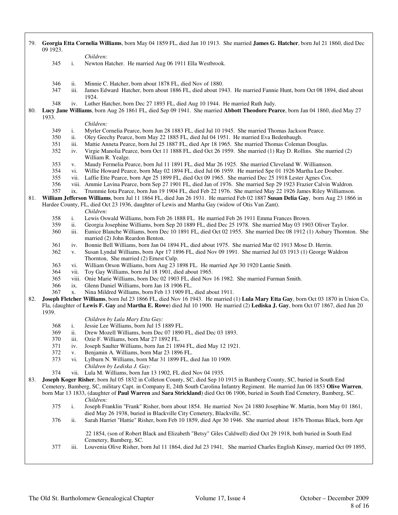79. **Georgia Etta Cornelia Williams**, born May 04 1859 FL, died Jan 10 1913. She married **James G. Hatcher**, born Jul 21 1860, died Dec 09 1923. *Children:* 345 i. Newton Hatcher. He married Aug 06 1911 Ella Westbrook. 346 ii. Minnie C. Hatcher, born about 1878 FL, died Nov of 1880. iii. James Edward Hatcher, born about 1886 FL, died about 1943. He married Fannie Hunt, born Oct 08 1894, died about 1924. 348 iv. Luther Hatcher, born Dec 27 1893 FL, died Aug 10 1944. He married Ruth Judy. 80. **Lucy Jane Williams**, born Aug 26 1861 FL, died Sep 09 1941. She married **Abbott Theodore Pearce**, born Jan 04 1860, died May 27 1933. *Children:* 349 i. Myrler Cornelia Pearce, born Jun 28 1883 FL, died Jul 10 1945. She married Thomas Jackson Pearce. 350 ii. Oley Geechy Pearce, born May 22 1885 FL, died Jul 04 1951. He married Eva Bedenbaugh. 351 iii. Mattie Anneta Pearce, born Jul 25 1887 FL, died Apr 18 1965. She married Thomas Coleman Douglas. 352 iv. Virgie Manolia Pearce, born Oct 11 1888 FL, died Oct 26 1959. She married (1) Ray D. Rollins. She married (2) William R. Yealge. 353 v. Maudy Fermelia Pearce, born Jul 11 1891 FL, died Mar 26 1925. She married Cleveland W. Williamson. 354 vi. Willie Howard Pearce, born May 02 1894 FL, died Jul 06 1959. He married Spe 01 1926 Martha Lee Douber.<br>355 vii. Laffie Ette Pearce, born Apr 25 1899 FL, died Oct 09 1965. She married Dec 25 1918 Lester Agnes Cox. 355 vii. Laffie Ette Pearce, born Apr 25 1899 FL, died Oct 09 1965. She married Dec 25 1918 Lester Agnes Cox.<br>356 viii. Ammie Lavina Pearce, born Sep 27 1901 FL, died Jan of 1976. She married Sep 29 1923 Frazier Calvin N 356 viii. Ammie Lavina Pearce, born Sep 27 1901 FL, died Jan of 1976. She married Sep 29 1923 Frazier Calvin Waldron. ix. Trummie Iota Pearce, born Jun 19 1904 FL, died Feb 22 1976. She married May 22 1926 James Riley Williamson. 81. **William Jefferson Williams**, born Jul 11 1864 FL, died Jun 26 1931. He married Feb 02 1887 **Susan Delia Gay**, born Aug 23 1866 in Hardee County, FL, died Oct 23 1936, daughter of Lewis and Martha Gay (widow of Otis Van Zant). *Children:*<br>358 *i.* Lewis Osy 358 i. Lewis Oswald Williams, born Feb 26 1888 FL. He married Feb 26 1911 Emma Frances Brown. ii. Georgia Josephine Williams, born Sep 20 1889 FL, died Dec 25 1978. She married May 03 1903 Oliver Taylor. 360 iii. Eunice Blanche Williams, born Dec 10 1891 FL, died Oct 02 1955. She married Dec 08 1912 (1) Asbury Thornton. She married (2) John Reardon Benton. 361 iv. Bonnie Bell Williams, born Jan 04 1894 FL, died about 1975. She married Mar 02 1913 Mose D. Herrin. 362 v. Susan Lyndal Williams, born Apr 17 1896 FL, died Nov 09 1991. She married Jul 03 1913 (1) George Waldron Thornton, She married (2) Ernest Culp. 363 vi. William Orson Williams, born Aug 23 1898 FL. He married Apr 30 1920 Lantie Smith. 364 vii. Toy Gay Williams, born Jul 18 1901, died about 1965. 365 viii. Onie Marie Williams, born Dec 02 1903 FL, died Nov 16 1982. She married Furman Smith. ix. Glenn Daniel Williams, born Jan 18 1906 FL. 367 x. Nina Mildred Williams, born Feb 13 1909 FL, died about 1911. 82. **Joseph Fletcher Williams**, born Jul 23 1866 FL, died Nov 16 1943. He married (1) **Lula Mary Etta Gay**, born Oct 03 1870 in Union Co, Fla, (daughter of **Lewis F. Gay** and **Martha E. Rowe**) died Jul 10 1900. He married (2) **Lediska J. Gay**, born Oct 07 1867, died Jun 20 1939. *Children by Lula Mary Etta Gay:* 368 i. Jessie Lee Williams, born Jul 15 1889 FL. 369 ii. Drew Mozell Williams, born Dec 07 1890 FL, died Dec 03 1893. 370 iii. Ozie F. Williams, born Mar 27 1892 FL. 371 iv. Joseph Saulter Williams, born Jan 21 1894 FL, died May 12 1921. 372 v. Benjamin A. Williams, born Mar 23 1896 FL. 373 vi. Lylburn N. Williams, born Mar 31 1899 FL, died Jan 10 1909. *Children by Lediska J. Gay:* 374 vii. Lula M. Williams, born Jan 13 1902, FL died Nov 04 1935. 83. **Joseph Koger Risher**, born Jul 05 1832 in Colleton County, SC, died Sep 10 1915 in Bamberg County, SC, buried in South End Cemetery, Bamberg, SC, military Capt. in Company E, 24th South Carolina Infantry Regiment. He married Jan 06 1853 **Olive Warren**, born Mar 13 1833, (daughter of **Paul Warren** and **Sara Strickland**) died Oct 06 1906, buried in South End Cemetery, Bamberg, SC. *Children:* 375 i. Joseph Franklin "Frank" Risher, born about 1854. He married Nov 24 1880 Josephine W. Martin, born May 01 1861, died May 26 1938, buried in Blackville City Cemetery, Blackville, SC. 376 ii. Sarah Harriet "Hattie" Risher, born Feb 10 1859, died Apr 30 1946. She married about 1876 Thomas Black, born Apr 22 1854, (son of Robert Black and Elizabeth "Betsy" Giles Caldwell) died Oct 29 1918, both buried in South End Cemetery, Bamberg, SC. 377 iii. Louvenia Olive Risher, born Jul 11 1864, died Jul 23 1941, She married Charles English Kinsey, married Oct 09 1895,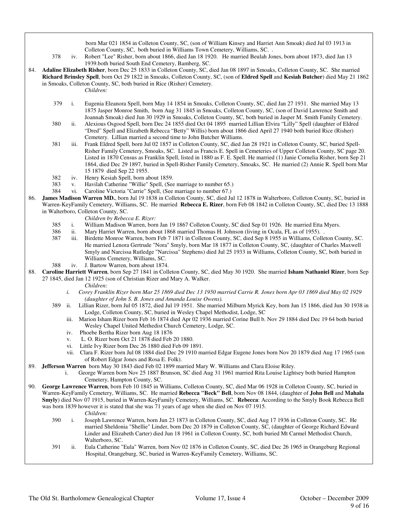born Mar 021 1854 in Colleton County, SC, (son of William Kinsey and Harriet Ann Smoak) died Jul 03 1913 in Colleton County, SC, both buried in Williams Town Cemetery, Williams, SC. .

 378 iv. Robert "Lee" Risher, born about 1866, died Jan 18 1920. He married Beulah Jones, born about 1873, died Jan 13 1939.both buried South End Cemetery, Bamberg, SC.

84. **Adaline Elizabeth Risher**, born Dec 25 1833 in Colleton County, SC, died Jan 08 1897 in Smoaks, Colleton County, SC. She married **Richard Brinsley Spell**, born Oct 29 1822 in Smoaks, Colleton County, SC, (son of **Eldred Spell** and **Kesiah Butcher**) died May 21 1862 in Smoaks, Colleton County, SC, both buried in Rice (Risher) Cemetery. *Children:*

- 379 i. Eugenia Eleanora Spell, born May 14 1854 in Smoaks, Colleton County, SC, died Jan 27 1931. She married May 13 1875 Jasper Monroe Smith, born Aug 31 1845 in Smoaks, Colleton County, SC, (son of David Lawrence Smith and Joannah Smoak) died Jun 30 1929 in Smoaks, Colleton County, SC, both buried in Jasper M. Smith Family Cemetery.
- 380 ii. Alexious Osgood Spell, born Dec 24 1855 died Oct 04 1895 married Lillian Elvira "Lilly" Spell (daughter of Eldred "Dred" Spell and Elizabeth Rebecca "Betty" Willis) born about 1866 died April 27 1940 both buried Rice (Risher) Cemetery. Lillian married a second time to John Butcher Williams.
- 381 iii. Frank Eldred Spell, born Jul 02 1857 in Colleton County, SC, died Jan 28 1921 in Colleton County, SC, buried Spell-Risher Family Cemetery, Smoaks, SC. Listed as Francis E. Spell in Cemeteries of Upper Colleton County, SC page 20. Listed in 1870 Census as Franklin Spell, listed in 1880 as F. E. Spell. He married (1) Janie Cornelia Risher, born Sep 21 1864, died Dec 29 1897, buried in Spell-Risher Family Cemetery, Smoaks, SC. He married (2) Annie R. Spell born Mar 15 1879 died Sep 22 1955.
- 382 iv. Henry Kesiah Spell, born about 1859.
- 383 v. Havilah Catherine "Willie" Spell, (See marriage to number 65.)
- Caroline Victoria "Carrie" Spell, (See marriage to number 67.)
- 86. **James Madison Warren MD.**, born Jul 19 1838 in Colleton County, SC, died Jul 12 1878 in Walterboro, Colleton County, SC, buried in Warren-KeyFamily Cemetery, Williams, SC. He married **Rebecca E. Rizer**, born Feb 08 1842 in Colleton County, SC, died Dec 13 1888 in Walterboro, Colleton County, SC.

- *Children by Rebecca E. Rizer:* i. William Madison Warren, born Jan 19 1867 Colleton County, SC died Sep 01 1926. He married Etta Myers.
- 386 ii. Mary Harriet Warren, born about 1868 married Thomas H. Johnson (living in Ocala, FL as of 1955). .
- 387 iii. Birdette Monroe Warren, born Feb 7 1871 in Colleton County, SC, died Sep 8 1955 in Williams, Colleton County, SC. He married Lenora Gertrude "Nora" Smyly, born Mar 18 1877 in Colleton County, SC, (daughter of Charles Maxwell Smyly and Narcissa Rutledge "Narcissa" Stephens) died Jul 25 1933 in Williams, Colleton County, SC, both buried in Williams Cemetery, Williams, SC.
- 388 iv. J. Bartow Warren, born about 1874.
- 88. **Caroline Harriett Warren**, born Sep 27 1841 in Colleton County, SC, died May 30 1920. She married **Isham Nathaniel Rizer**, born Sep 27 1845, died Jan 12 1925 (son of Christian Rizer and Mary A. Walker.
	- *Children:*
	- *i. Corey Franklin Rizer born Mar 25 1869 died Dec 13 1950 married Carrie R. Jones born Apr 03 1869 died May 02 1929 (daughter of John S. B. Jones and Amanda Louise Owens).*
	- 389 ii. Lillian Rizer, born Jul 05 1872, died Jul 19 1951. She married Milburn Myrick Key, born Jun 15 1866, died Jun 30 1938 in Lodge, Colleton County, SC, buried in Wesley Chapel Methodist, Lodge, SC
		- iii. Marion Isham Rizer born Feb 16 1874 died Apr 02 1936 married Corine Bull b. Nov 29 1884 died Dec 19 64 both buried Wesley Chapel United Methedist Church Cemetery, Lodge, SC.
		- iv. Phoebe Bertha Rizer born Aug 18 1876
		- v. L. O. Rizer born Oct 21 1878 died Feb 20 1880.
		- vi. Little Ivy Rizer born Dec 26 1880 died Feb 09 1891.
		- vii. Clara F. Rizer born Jul 08 1884 died Dec 29 1910 married Edgar Eugene Jones born Nov 20 1879 died Aug 17 1965 (son of Robert Edgar Jones and Rosa E. Folk).
- 89. **Jefferson Warren** born May 30 1843 died Feb 02 1899 married Mary W. Williams and Clara Eloise Riley.
	- i. George Warren born Nov 25 1887 Brunson, SC died Aug 31 1961 married Rita Louise Lightsey both buried Hampton Cemetery, Hampton County, SC.
- 90. **George Lawrence Warren**, born Feb 10 1845 in Williams, Colleton County, SC, died Mar 06 1928 in Colleton County, SC, buried in Warren-KeyFamily Cemetery, Williams, SC. He married **Rebecca "Beck" Bell**, born Nov 08 1844, (daughter of **John Bell** and **Mahala Smyly**) died Nov 07 1915, buried in Warren-KeyFamily Cemetery, Williams, SC. **Rebecca**: According to the Smyly Book Rebecca Bell was born 1839 however it is stated that she was 71 years of age when she died on Nov 07 1915. *Children:*
	- 390 i. Joseph Lawrence Warren, born Jun 23 1873 in Colleton County, SC, died Aug 17 1936 in Colleton County, SC. He married Sheldonia "Shellie" Linder, born Dec 20 1879 in Colleton County, SC, (daughter of George Richard Edward Linder and Elizabeth Carter) died Jun 18 1961 in Colleton County, SC, both buried Mt Carmel Methodist Church, Walterboro, SC.
	- 391 ii. Eula Catherine "Eula" Warren, born Nov 02 1876 in Colleton County, SC, died Dec 26 1965 in Orangeburg Regional Hospital, Orangeburg, SC, buried in Warren-KeyFamily Cemetery, Williams, SC.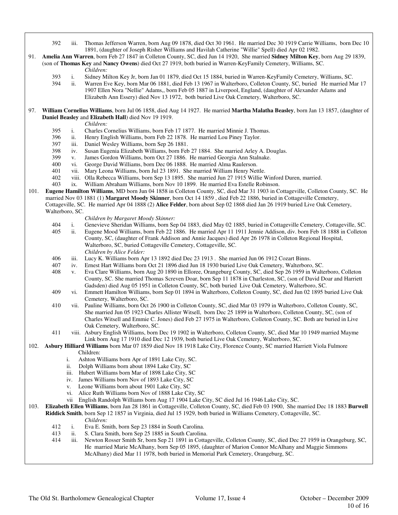- 392 iii. Thomas Jefferson Warren, born Aug 09 1878, died Oct 30 1961. He married Dec 30 1919 Carrie Williams, born Dec 10 1891, (daughter of Joseph Risher Williams and Havilah Catherine "Willie" Spell) died Apr 02 1982.
- 91. **Amelia Ann Warren**, born Feb 27 1847 in Colleton County, SC, died Jun 14 1920, She married **Sidney Milton Key**, born Aug 29 1839, (son of **Thomas Key** and **Nancy Owens**) died Oct 27 1919, both buried in Warren-KeyFamily Cemetery, Williams, SC.
	- *Children:*
	- 393 i. Sidney Milton Key Jr, born Jan 01 1879, died Oct 15 1884, buried in Warren-KeyFamily Cemetery, Williams, SC.
	- ii. Warren Eve Key, born Mar 06 1881, died Feb 13 1967 in Walterboro, Colleton County, SC, buried He married Mar 17 1907 Ellen Nora "Nellie" Adams,, born Feb 05 1887 in Liverpool, England, (daughter of Alexander Adams and Elizabeth Ann Essery) died Nov 13 1972, both buried Live Oak Cemetery, Walterboro, SC.
- 97. **William Cornelius Williams**, born Jul 06 1858, died Aug 14 1927. He married **Martha Malatha Beasley**, born Jan 13 1857, (daughter of **Daniel Beasley** and **Elizabeth Hall**) died Nov 19 1919.
	- *Children:*
	- 395 i. Charles Cornelius Williams, born Feb 17 1877. He married Minnie J. Thomas.
	- 396 ii. Henry English Williams, born Feb 22 1878. He married Lou Piney Taylor.
	- 397 iii. Daniel Wesley Williams, born Sep 26 1881.
	- 398 iv. Susan Eugenia Elizabeth Williams, born Feb 27 1884. She married Arley A. Douglas.
	- 399 v. James Gordon Williams, born Oct 27 1886. He married Georgia Ann Stalnake.
	- 400 vi. George David Williams, born Dec 06 1888. He married Alma Raulerson.
	- 401 vii. Mary Leona Williams, born Jul 23 1891. She married William Henry Nettle.<br>402 viii. Olla Rebecca Williams, born Sen 13 1895. She married Jun 27 1915 Willie W
	- 402 viii. Olla Rebecca Williams, born Sep 13 1895. She married Jun 27 1915 Willie Winford Duren, married.<br>403 ix. William Abraham Williams, born Nov 10 1899. He married Eva Estelle Robinson.
	- ix. William Abraham Williams, born Nov 10 1899. He married Eva Estelle Robinson.
- 101. **Eugene Hamilton Williams**, MD born Jun 04 1858 in Colleton County, SC, died Mar 31 1903 in Cottageville, Colleton County, SC. He married Nov 03 1881 (1) **Margaret Moody Skinner**, born Oct 14 1859 , died Feb 22 1886, buried in Cottageville Cemetery, Cottageville, SC. He married Apr 04 1888 (2) **Alice Felder**, born about Sep 02 1868 died Jan 26 1919 buried Live Oak Cemetery, Walterboro, SC.
	-
	- *Children by Margaret Moody Skinner:* 404 i. Genevieve Sheridan Williams, born Sep 04 1883, died May 02 1885, buried in Cottageville Cemetery, Cottageville, SC.
	- 405 ii. Eugene Mood Williams, born Feb 22 1886. He married Apr 11 1911 Jennie Addison, div. born Feb 18 1888 in Colleton County, SC, (daughter of Frank Addison and Annie Jacques) died Apr 26 1978 in Colleton Regional Hospital, Walterboro, SC, buried Cottageville Cemetery, Cottageville, SC. *Children by Alice Felder:*
	- 406 iii. Lucy K. Williams born Apr 13 1892 died Dec 23 1913 . She married Jun 06 1912 Cozart Binns.
	- 407 iv. Ernest Hart Williams born Oct 21 1896 died Jun 18 1930 buried Live Oak Cemetery, Walterboro, SC.
	- 408 v. Eva Clare Williams, born Aug 20 1890 in Elloree, Orangeburg County, SC, died Sep 26 1959 in Walterboro, Colleton County, SC. She married Thomas Screven Doar, born Sep 11 1878 in Charleston, SC, (son of David Doar and Harriett Gadsden) died Aug 05 1951 in Colleton County, SC, both buried Live Oak Cemetery, Walterboro, SC.
	- 409 vi. Emmett Hamilton Williams, born Sep 01 1894 in Walterboro, Colleton County, SC, died Jun 02 1895 buried Live Oak Cemetery, Walterboro, SC.
	- 410 vii. Pauline Williams, born Oct 26 1900 in Colleton County, SC, died Mar 03 1979 in Walterboro, Colleton County, SC, She married Jun 05 1923 Charles Allister Witsell, born Dec 25 1899 in Walterboro, Colleton County, SC, (son of Charles Witsell and Emmie C. Jones) died Feb 27 1975 in Walterboro, Colleton County, SC. Both are buried in Live Oak Cemetery, Walterboro, SC.
	- 411 viii. Asbury English Williams, born Dec 19 1902 in Walterboro, Colleton County, SC, died Mar 10 1949 married Mayme Link born Aug 17 1910 died Dec 12 1939, both buried Live Oak Cemetery, Walterboro, SC.

#### 102. **Asbury Hilliard Williams** born Mar 07 1859 died Nov 18 1918 Lake City, Florence County, SC married Harriett Viola Fulmore Children:

- i. Ashton Williams born Apr of 1891 Lake City, SC.
- ii. Dolph Williams born about 1894 Lake City, SC
- iii. Hubert Williams born Mar of 1898 Lake City, SC
- iv. James Williams born Nov of 1893 Lake City, SC
- v. Leone Williams born about 1901 Lake City, SC
- vi. Alice Ruth Williams born Nov of 1888 Lake City, SC
- 
- vii English Randolph Williams born Aug 17 1904 Lake City, SC died Jul 16 1946 Lake City, SC.
- 103. **Elizabeth Ellen Williams**, born Jan 28 1861 in Cottageville, Colleton County, SC, died Feb 03 1900, She married Dec 18 1883 **Burwell Riddick Smith**, born Sep 12 1857 in Virginia, died Jul 15 1929, both buried in Williams Cemetery, Cottageville, SC.
	- *Children:*
	- 412 i. Eva E. Smith, born Sep 23 1884 in South Carolina.
	- 413 ii. S. Clara Smith, born Sep 25 1885 in South Carolina.
	- 414 iii. Newton Rosser Smith Sr, born Sep 21 1891 in Cottageville, Colleton County, SC, died Dec 27 1959 in Orangeburg, SC, He married Marie McAlhany, born Sep 05 1895, (daughter of Marion Connor McAlhany and Maggie Simmons McAlhany) died Mar 11 1978, both buried in Memorial Park Cemetery, Orangeburg, SC.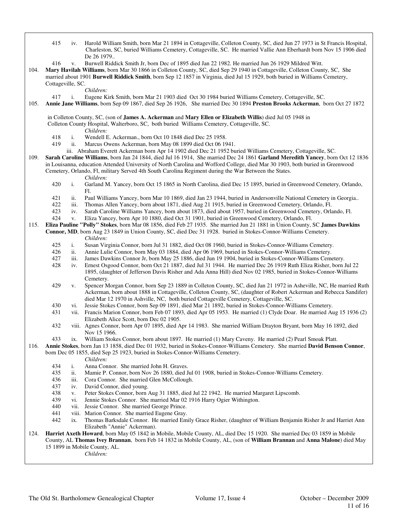- 415 iv. Harold William Smith, born Mar 21 1894 in Cottageville, Colleton County, SC, died Jun 27 1973 in St Francis Hospital, Charleston, SC, buried Williams Cemetery, Cottageville, SC. He married Vallie Ann Eberhardt born Nov 15 1906 died De 26 1979.. 416 v. Burwell Riddick Smith Jr, born Dec of 1895 died Jan 22 1982. He married Jun 26 1929 Mildred Witt. 104. **Mary Havilah Williams**, born Mar 30 1866 in Colleton County, SC, died Sep 29 1940 in Cottageville, Colleton County, SC, She married about 1901 **Burwell Riddick Smith**, born Sep 12 1857 in Virginia, died Jul 15 1929, both buried in Williams Cemetery, Cottageville, SC. *Children:* 417 i. Eugene Kirk Smith, born Mar 21 1903 died Oct 30 1984 buried Williams Cemetery, Cottageville, SC. 105. **Annie Jane Williams**, born Sep 09 1867, died Sep 26 1926, She married Dec 30 1894 **Preston Brooks Ackerman**, born Oct 27 1872 in Colleton County, SC, (son of **James A. Ackerman** and **Mary Ellen or Elizabeth Willis**) died Jul 05 1948 in Colleton County Hospital, Walterboro, SC, both buried Williams Cemetery, Cottageville, SC. *Children:* 418 i. Wendell E. Ackerman., born Oct 10 1848 died Dec 25 1958. 419 ii. Marcus Owens Ackerman, born May 08 1899 died Oct 06 1941. iii. Abraham Everett Ackerman born Apr 14 1902 died Dec 21 1952 buried Williams Cemetery, Cottageville, SC. 109. **Sarah Caroline Williams**, born Jan 24 1844, died Jul 16 1914, She married Dec 24 1861 **Garland Meredith Yancey**, born Oct 12 1836 in Louisanna, education Attended University of North Carolina and Wofford College, died Mar 30 1903, both buried in Greenwood Cemetery, Orlando, Fl, military Served 4th South Carolina Regiment during the War Between the States. *Children:*<br>420 *i.* Garland N i. Garland M. Yancey, born Oct 15 1865 in North Carolina, died Dec 15 1895, buried in Greenwood Cemetery, Orlando, Fl. 421 ii. Paul Williams Yancey, born Mar 10 1869, died Jan 23 1944, buried in Andersonville National Cemetery in Georgia.. 422 iii. Thomas Allen Yancey, born about 1871, died Aug 21 1915, buried in Greenwood Cemetery, Orlando, Fl.<br>423 iv. Sarah Caroline Williams Yancey, born about 1873, died about 1957, buried in Greenwood Cemetery, Orla 423 iv. Sarah Caroline Williams Yancey, born about 1873, died about 1957, buried in Greenwood Cemetery, Orlando, Fl. v. Eliza Yancey, born Apr 10 1880, died Oct 31 1901, buried in Greenwood Cemetery, Orlando, Fl. 115. **Eliza Pauline "Polly" Stokes**, born Mar 08 1856, died Feb 27 1935. She married Jun 21 1881 in Union County, SC **James Dawkins Connor, MD**, born Aug 23 1849 in Union County, SC, died Dec 31 1928. buried in Stokes-Connor-Williams Cemetery. *Children:* 425 i. Susan Virginia Connor, born Jul 31 1882, died Oct 08 1960, buried in Stokes-Connor-Williams Cemetery. 426 ii. Annie Lulie Connor, born May 03 1884, died Apr 06 1969, buried in Stokes-Connor-Williams Cemetery.<br>427 iii. James Dawkins Connor Jr. born May 25 1886, died Jun 19 1904, buried in Stokes-Connor-Williams Ceme iii. James Dawkins Connor Jr, born May 25 1886, died Jun 19 1904, buried in Stokes-Connor-Williams Cemetery. 428 iv. Ernest Osgood Connor, born Oct 21 1887, died Jul 31 1944. He married Dec 26 1919 Ruth Eliza Risher, born Jul 22 1895, (daughter of Jefferson Davis Risher and Ada Anna Hill) died Nov 02 1985, buried in Stokes-Connor-Williams Cemetery. 429 v. Spencer Morgan Connor, born Sep 23 1889 in Colleton County, SC, died Jan 21 1972 in Asheville, NC, He married Ruth Ackerman, born about 1888 in Cottageville, Colleton County, SC, (daughter of Robert Ackerman and Rebecca Sandifer) died Mar 12 1970 in Ashville, NC, both buried Cottageville Cemetery, Cottageville, SC. 430 vi. Jessie Stokes Connor, born Sep 09 1891, died Mar 21 1892, buried in Stokes-Connor-Williams Cemetery. 431 vii. Francis Marion Connor, born Feb 07 1893, died Apr 05 1953. He married (1) Clyde Doar. He married Aug 15 1936 (2) Elizabeth Alice Scott, born Dec 02 1905. 432 viii. Agnes Connor, born Apr 07 1895, died Apr 14 1983. She married William Drayton Bryant, born May 16 1892, died Nov 15 1966. 433 ix. William Stokes Connor, born about 1897. He married (1) Mary Caveny. He married (2) Pearl Smoak Platt. 116. **Annie Stokes**, born Jan 13 1858, died Dec 01 1932, buried in Stokes-Connor-Williams Cemetery. She married **David Benson Connor**, born Dec 05 1855, died Sep 25 1923, buried in Stokes-Connor-Williams Cemetery. *Children:* 434 i. Anna Connor. She married John H. Graves. 435 ii. Mamie P. Connor, born Nov 26 1880, died Jul 01 1908, buried in Stokes-Connor-Williams Cemetery. 436 iii. Cora Connor. She married Glen McCollough.<br>437 iv. David Connor, died young. 437 iv. David Connor, died young.<br>438 v. Peter Stokes Connor, born / v. Peter Stokes Connor, born Aug 31 1885, died Jul 22 1942. He married Margaret Lipscomb. 439 vi. Jennie Stokes Connor. She married Mar 02 1916 Harry Ogier Withington. 440 vii. Jessie Connor. She married George Prince. 441 viii. Marion Connor. She married Eugene Gray.<br>442 ix. Thomas Barksdale Connor. He married Em ix. Thomas Barksdale Connor. He married Emily Grace Risher, (daughter of William Benjamin Risher Jr and Harriet Ann Elizabeth "Annie" Ackerman). 124. **Harriet Axeth Howard**, born May 05 1842 in Mobile, Mobile County, AL, died Dec 15 1920. She married Dec 03 1859 in Mobile County, AL **Thomas Ivey Brannan**, born Feb 14 1832 in Mobile County, AL, (son of **William Brannan** and **Anna Malone**) died May
	- 15 1899 in Mobile County, AL.
		- *Children:*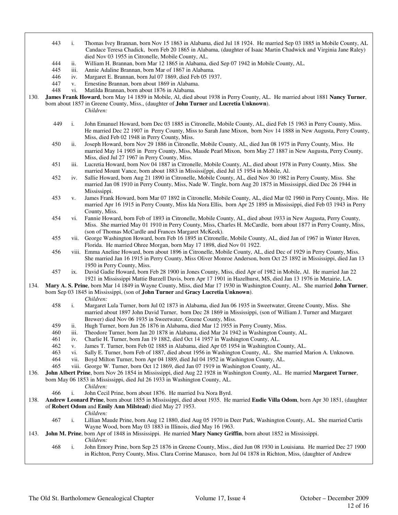Candace Teresa Chadick, born Feb 20 1865 in Alabama, (daughter of Isaac Martin Chadwick and Virginia Jane Raley) died Nov 03 1955 in Citronelle, Mobile County, AL. 444 ii. William H. Brannan, born Mar 12 1865 in Alabama, died Sep 07 1942 in Mobile County, AL. 445 iii. Annie Adaline Brannan, born Mar of 1867 in Alabama. 446 iv. Margaret E. Brannan, born Jul 07 1869, died Feb 05 1937.<br>447 v. Ernestine Brannan, born about 1869 in Alabama. 447 v. Ernestine Brannan, born about 1869 in Alabama. vi. Matilda Brannan, born about 1876 in Alabama. 130. **James Frank Howard**, born May 14 1859 in Mobile, Al, died about 1938 in Perry County, AL. He married about 1881 **Nancy Turner**, born about 1857 in Greene County, Miss., (daughter of **John Turner** and **Lucretia Unknown**). *Children:* 449 i. John Emanuel Howard, born Dec 03 1885 in Citronelle, Mobile County, AL, died Feb 15 1963 in Perry County, Miss. He married Dec 22 1907 in Perry County, Miss to Sarah Jane Mixon, born Nov 14 1888 in New Augusta, Perry County, Miss, died Feb 02 1948 in Perry County, Miss. 450 ii. Joseph Howard, born Nov 29 1886 in Citronelle, Mobile County, AL, died Jun 08 1975 in Perry County, Miss. He married May 14 1905 in Perry County, Miss, Maude Pearl Mixon, born May 27 1887 in New Augusta, Perry County, Miss, died Jul 27 1967 in Perry County, Miss. 451 iii. Lucretia Howard, born Nov 04 1887 in Citronelle, Mobile County, AL, died about 1978 in Perry County, Miss. She married Mount Vance, born about 1883 in Mississi[ppi, died Jul 15 1954 in Mobile, Al. 452 iv. Sallie Howard, born Aug 21 1890 in Citronelle, Mobile County, AL, died Nov 30 1982 in Perry County, Miss. She married Jan 08 1910 in Perry County, Miss, Nade W. Tingle, born Aug 20 1875 in Mississippi, died Dec 26 1944 in Mississippi. 453 v. James Frank Howard, born Mar 07 1892 in Citronelle, Mobile County, AL, died Mar 02 1960 in Perry County, Miss. He married Apr 16 1915 in Perry County, Miss Ida Nora Ellis, born Apr 25 1895 in Mississippi, died Feb 03 1943 in Perry County, Miss. 454 vi. Fannie Howard, born Feb of 1893 in Citronelle, Mobile County, AL, died about 1933 in New Augusta, Perry County, Miss. She married May 01 1910 in Perry County, Miss, Charles H. McCardle, born about 1877 in Perry County, Miss, (son of Thomas McCardle and Frances Margaret McKeek). 455 vii. George Washington Howard, born Feb 16 1895 in Citronelle, Mobile County, AL, died Jan of 1967 in Winter Haven, Florida. He married Ohree Morgan, born May 17 1898, died Nov 01 1922. 456 viii. Emma Aneline Howard, born about 1896 in Citronelle, Mobile County, AL, died Dec of 1929 in Perry County, Miss. She married Jan 16 1915 in Perry County, Miss Oliver Monroe Anderson, born Oct 25 1892 in Mississippi, died Jan 13 1950 in Perry County, Miss. 457 ix. David Gadie Howard, born Feb 28 1900 in Jones County, Miss, died Apr of 1982 in Mobile, Al. He married Jan 22 1921 in Mississippi Mattie Burzell Davis, born Apr 17 1901 in Hazelhurst, MS, died Jan 13 1976 in Metairie, LA. 134. **Mary A. S. Prine**, born Mar 14 1849 in Wayne County, Miss, died Mar 17 1930 in Washington County, AL. She married **John Turner**, born Sep 03 1845 in Mississippi, (son of **John Turner** and **Gracy Lucretia Unknown**). *Children:* 458 i. Margaret Lula Turner, born Jul 02 1873 in Alabama, died Jun 06 1935 in Sweetwater, Greene County, Miss. She married about 1897 John David Turner, born Dec 28 1869 in Mississippi, (son of William J. Turner and Margaret Brewer) died Nov 06 1935 in Sweetwater, Greene County, Miss. 459 ii. Hugh Turner, born Jun 26 1876 in Alabama, died Mar 12 1955 in Perry County, Miss. 460 iii. Theodore Turner, born Jan 20 1878 in Alabama, died Mar 24 1942 in Washington County, AL. 461 iv. Charlie H. Turner, born Jan 19 1882, died Oct 14 1957 in Washington County, AL. 462 v. James T. Turner, born Feb 02 1885 in Alabama, died Apr 05 1954 in Washington County, AL. vi. Sally E. Turner, born Feb of 1887, died about 1956 in Washington County, AL. She married Marion A. Unknown. 464 vii. Boyd Milton Turner, born Apr 04 1889, died Jul 04 1952 in Washington County, AL. 465 viii. George W. Turner, born Oct 12 1869, died Jan 07 1919 in Washington County, AL. 136. **John Albert Prine**, born Nov 26 1854 in Mississippi, died Aug 22 1928 in Washington County, AL. He married **Margaret Turner**, born May 06 1853 in Mississippi, died Jul 26 1933 in Washington County, AL. *Children:* 466 i. John Cecil Prine, born about 1876. He married Iva Nora Byrd. 138. **Andrew Leonard Prine**, born about 1855 in Mississippi, died about 1935. He married **Eudie Villa Odom**, born Apr 30 1851, (daughter of **Robert Odom** and **Emily Ann Milstead**) died May 27 1953. *Children:* 467 i. Lillian Maude Prine, born Aug 12 1880, died Aug 05 1970 in Deer Park, Washington County, AL. She married Curtis Wayne Wood, born May 03 1883 in Illinois, died May 16 1963. 143. **John M. Prine**, born Apr of 1848 in Mississippi. He married **Mary Nancy Griffin**, born about 1852 in Mississippi. *Children:*<br>468 i. John Emo i. John Emory Prine, born Sep 25 1876 in Greene County, Miss., died Jun 08 1930 in Louisiana. He married Dec 27 1900 in Richton, Perry County, Miss. Clara Corrine Manasco, born Jul 04 1878 in Richton, Miss, (daughter of Andrew

443 i. Thomas Ivey Brannan, born Nov 15 1863 in Alabama, died Jul 18 1924. He married Sep 03 1885 in Mobile County, AL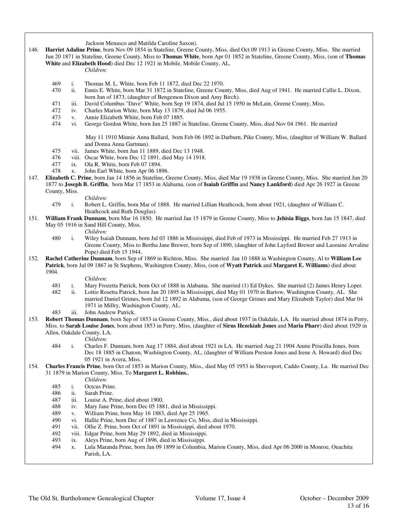Jackson Menasco and Matilda Caroline Saxon).

146. **Harriet Adaline Prine**, born Nov 09 1854 in Stateline, Greene County, Miss, died Oct 09 1913 in Greene County, Miss. She married Jun 20 1871 in Stateline, Greene County, Miss to **Thomas White**, born Apr 01 1852 in Stateline, Greene County, Miss, (son of **Thomas White** and **Elizabeth Hood**) died Dec 12 1921 in Mobile, Mobile County, AL.

*Children:*

- 469 i. Thomas M. L. White, born Feb 11 1872, died Dec 22 1970.<br>470 ii. Ennis E. White, born Mar 31 1872 in Stateline, Greene Cour
- ii. Ennis E. White, born Mar 31 1872 in Stateline, Greene County, Miss, died Aug of 1941. He married Callie L. Dixon, born Jun of 1873, (daughter of Bengemon Dixon and Amy Birch).
- 471 iii. David Columbus "Dave" White, born Sep 19 1874, died Jul 15 1950 in McLain, Greene County, Miss.
- 472 iv. Charles Marion White, born May 13 1879, died Jul 06 1955.<br>473 v. Annie Elizabeth White, born Feb 07 1885.
- 473 v. Annie Elizabeth White, born Feb 07 1885.<br>474 vi. George Gordon White, born Jun 25 1887 in
- vi. George Gordon White, born Jun 25 1887 in Stateline, Greene County, Miss, died Nov 04 1961. He married

 May 11 1910 Minnie Anna Ballard, born Feb 06 1892 in Darburn, Pike County, Miss, (daughter of William W. Ballard and Donna Anna Gartman).

- 475 vii. James White, born Jun 11 1889, died Dec 13 1948.<br>476 viii. Oscar White, born Dec 12 1891, died May 14 1918
- viii. Oscar White, born Dec 12 1891, died May 14 1918.
- 477 ix. Ola R. White, born Feb 07 1894.
- 478 x. John Earl White, born Apr 06 1896.
- 147. **Elizabeth C. Prine**, born Jan 14 1856 in Stateline, Greene County, Miss, died Mar 19 1938 in Greene County, Miss. She married Jun 20 1877 to **Joseph B. Griffin**, born Mar 17 1853 in Alabama, (son of **Isaiah Griffin** and **Nancy Lankford**) died Apr 26 1927 in Greene County, Miss.

*Children:*

- 479 i. Robert L. Griffin, born Mar of 1888. He married Lillian Heathcock, born about 1921, (daughter of William C. Heathcock and Ruth Douglas).
- 151. **William Frank Dunnam**, born Mar 16 1850. He married Jan 15 1879 in Greene County, Miss to **Jehisia Biggs**, born Jan 15 1847, died May 05 1916 in Sand Hill County, Miss.
	- *Children:*
	- 480 i. Wiley Isaiah Dunnam, born Jul 03 1886 in Mississippi, died Feb of 1973 in Mississippi. He married Feb 27 1913 in Greene County, Miss to Bertha Jane Brewer, born Sep of 1890, (daughter of John Layford Brewer and Laoraine Arvaline Pope) died Feb 15 1944.
- 152. **Rachel Catherine Dunnam**, born Sep of 1869 in Richton, Miss. She married Jan 10 1888 in Washington County, Al to **William Lee Patrick**, born Jul 09 1867 in St Stephens, Washington County, Miss, (son of **Wyatt Patrick** and **Margaret E. Williams**) died about 1904.

- *Children:*<br>481 *i.* Mary Fro: Mary Frozetta Patrick, born Oct of 1888 in Alabama. She married (1) Ed Dykes. She married (2) James Henry Loper.
- 482 ii. Lottie Rosetta Patrick, born Jan 20 1895 in Mississippi, died May 01 1970 in Bartow, Washington County, AL. She married Daniel Grimes, born Jul 12 1892 in Alabama, (son of George Grimes and Mary Elizabeth Taylor) died Mar 04 1971 in Millry, Washington County, AL.
- 483 iii. John Andrew Patrick.
- 153. **Robert Thomas Dunnam**, born Sep of 1853 in Greene County, Miss., died about 1937 in Oakdale, LA. He married about 1874 in Perry, Miss. to **Sarah Louise Jones**, born about 1853 in Perry, Miss, (daughter of **Sirus Hezekiah Jones** and **Maria Pharr**) died about 1929 in Allen, Oakdale County, LA.

- *Children:*<br>484 i Charles F i. Charles F. Dunnam, born Aug 17 1884, died about 1921 in LA. He married Aug 21 1904 Annie Priscilla Jones, born Dec 18 1885 in Chatom, Washington County, AL, (daughter of William Preston Jones and Irene A. Howard) died Dec 05 1921 in Avera, Miss.
- 154. **Charles Francis Prine**, born Oct of 1853 in Marion County, Miss., died May 05 1953 in Shreveport, Caddo County, La. He married Dec 31 1879 in Marion County, Miss. To **Margaret L. Robbins.**,
	-
	- *Children:*<br>485 *i.* Octcus Pr 485 i. Octcus Prine.<br>486 ii. Sarah Prine.
	- ii. Sarah Prine.
	- 487 iii. Louise A. Prine, died about 1900.
	- 488 iv. Mary Jane Prine, born Dec 05 1881, died in Mississippi.
	- 489 v. William Prine, born May 16 1883, died Apr 25 1965.
	- 490 vi. Hallie Prine, born Dec of 1887 in Lawrence Co, Miss, died in Mississippi.<br>491 vii. Ollie Z. Prine, born Oct of 1891 in Mississippi, died about 1970.
	- vii. Ollie Z. Prine, born Oct of 1891 in Mississippi, died about 1970.
	- 492 viii. Edgar Prine, born May 29 1892, died in Mississippi.
	- 493 ix. Aleys Prine, born Aug of 1896, died in Mississippi.
	- 494 x. Lula Maranda Prine, born Jan 09 1899 in Columbia, Marion County, Miss, died Apr 06 2000 in Monroe, Ouachita Parish, LA.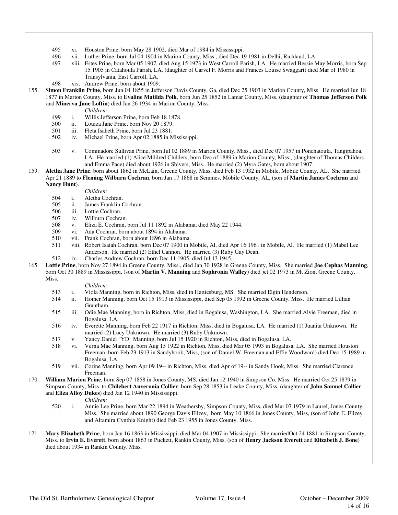- 495 xi. Houston Prine, born May 28 1902, died Mar of 1984 in Mississippi.
- 496 xii. Luther Prine, born Jul 04 1904 in Marion County, Miss., died Dec 19 1981 in Delhi, Richland, LA.
- 497 xiii. Estes Prine, born Mar 05 1907, died Aug 15 1973 in West Carroll Parish, LA. He married Bessie May Morris, born Sep 15 1905 in Catahoula Parish, LA, (daughter of Carvel F. Morris and Frances Louise Swaggart) died Mar of 1980 in Transylvania, East Carroll, LA.
- 498 xiv. Andrew Prine, born about 1909.
- 155. **Simon Franklin Prine**, born Jun 04 1855 in Jefferson Davis County, Ga, died Dec 25 1903 in Marion County, Miss. He married Jun 18 1877 in Marion County, Miss. to **Evaline Matilda Polk**, born Jun 25 1852 in Lamar County, Miss, (daughter of **Thomas Jefferson Polk** and **Minerva Jane Loftin**) died Jan 26 1934 in Marion County, Miss.
	-
	- *Children:*<br>499 *i.* Willis Jef 499 i. Willis Jefferson Prine, born Feb 18 1878.<br>500 ii. Louiza Jane Prine, born Nov 20 1879.
	- ii. Louiza Jane Prine, born Nov 20 1879.
	- 501 iii. Fleta Isabeth Prine, born Jul 23 1881.
	- 502 iv. Michael Prine, born Apr 02 1885 in Mississippi.
	- 503 v. Commadore Sullivan Prine, born Jul 02 1889 in Marion County, Miss., died Dec 07 1957 in Ponchatoula, Tangipahoa, LA. He married (1) Alice Mildred Childers, born Dec of 1889 in Marion County, Miss., (daughter of Thomas Childers and Emma Pace) died about 1926 in Shivers, Miss. He married (2) Myra Gates, born about 1907.
- 159. **Aletha Jane Prine**, born about 1862 in McLain, Greene County, Miss, died Feb 13 1932 in Mobile, Mobile County, AL. She married Apr 21 1889 to **Fleming Wilburn Cochran**, born Jan 17 1868 in Semmes, Mobile County, AL, (son of **Martin James Cochran** and **Nancy Hunt**).
	- *Children:*
	- 504 i. Aletha Cochran.
	-
	- 505 ii. James Franklin Cochran.<br>506 iii. Lottie Cochran.
	- 506 iii. Lottie Cochran.<br>507 iv. Wilburn Cochra
	- 507 iv. Wilburn Cochran.<br>508 v. Eliza E. Cochran. v. Eliza E. Cochran, born Jul 11 1892 in Alabama, died May 22 1944.
	- 509 vi. Ada Cochran, born about 1894 in Alabama.
	- 510 vii. Frank Cochran, born about 1896 in Alabama.
	- 511 viii. Robert Isaiah Cochran, born Dec 07 1900 in Mobile, Al, died Apr 16 1961 in Mobile, Al. He married (1) Mabel Lee Anderson. He married (2) Ethel Cannon. He married (3) Ruby Gay Dean.
	- 512 ix. Charles Andrew Cochran, born Dec 11 1905, died Jul 13 1945.
- 165. **Lottie Prine**, born Nov 27 1894 in Greene County, Miss., died Jan 30 1928 in Greene County, Miss. She married **Joe Cephas Manning**, born Oct 30 1889 in Mississippi, (son of **Martin V. Manning** and **Sophronia Walley**) died )ct 02 1973 in Mt Zion, Greene County, Miss.

#### *Children:*

- 513 i. Viola Manning, born in Richton, Miss, died in Hattiesburg, MS. She married Elgin Henderson.
- 514 ii. Homer Manning, born Oct 15 1913 in Mississippi, died Sep 05 1992 in Greene County, Miss. He married Lillian Grantham.
- 515 iii. Odie Mae Manning, born in Richton, Miss, died in Bogalusa, Washington, LA. She married Alvie Freeman, died in Bogalusa, LA.
- 516 iv. Everette Manning, born Feb 22 1917 in Richton, Miss, died in Bogalusa, LA. He married (1) Juanita Unknown. He married (2) Lucy Unknown. He married (3) Ruby Unknown.
- 517 v. Yancy Daniel "YD" Manning, born Jul 15 1920 in Richton, Miss, died in Bogalusa, LA.
- 518 vi. Verna Mae Manning, born Aug 15 1922 in Richton, Miss, died Mar 05 1993 in Bogalusa, LA. She married Houston Freeman, born Feb 23 1913 in Sandyhook, Miss, (son of Daniel W. Freeman and Effie Woodward) died Dec 15 1989 in Bogalusa, LA.
- 519 vii. Corine Manning, born Apr 09 19-- in Richton, Miss, died Apr of 19-- in Sandy Hook, Miss. She married Clarence Freeman.
- 170. **William Marion Prine**, born Sep 07 1858 in Jones County, MS, died Jan 12 1940 in Simpson Co, Miss. He married Oct 25 1879 in Simpson County, Miss. to **Chilebert Anveronia Collier**, born Sep 28 1853 in Leake County, Miss, (daughter of **John Samuel Collier** and **Eliza Alloy Dukes**) died Jan 12 1940 in Mississippi.

*Children:*

- 520 i. Annie Lee Prine, born Mar 22 1894 in Weathersby, Simpson County, Miss, died Mar 07 1979 in Laurel, Jones County, Miss. She married about 1890 George Davis Ellzey, born May 10 1866 in Jones County, Miss, (son of John E. Ellzey and Altamira Cynthia Knight) died Feb 23 1955 in Jones County, Miss.
- 171. **Mary Elizabeth Prine**, born Jan 16 1863 in Mississippi, died Mar 04 1907 in Mississippi. She marriedOct 24 1881 in Simpson County, Miss. to **Irvin E. Everett**, born about 1863 in Puckett, Rankin County, Miss, (son of **Henry Jackson Everett** and **Elizabeth J. Bone**) died about 1934 in Rankin County, Miss.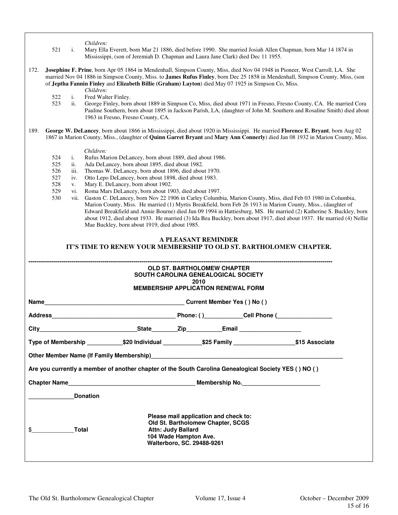- *Children:*<br>521 i. Mary Ella 521 i. Mary Ella Everett, born Mar 21 1886, died before 1990. She married Josiah Allen Chapman, born Mar 14 1874 in Mississippi, (son of Jeremiah D. Chapman and Laura Jane Clark) died Dec 11 1955.
- 172. **Josephine F. Prine**, born Apr 05 1864 in Mendenhall, Simpson County, Miss, died Nov 04 1948 in Pioneer, West Carroll, LA. She married Nov 04 1886 in Simpson County, Miss. to **James Rufus Finley**, born Dec 25 1858 in Mendenhall, Simpson County, Miss, (son of **Jeptha Fannin Finley** and **Elizabeth Billie (Graham) Layton**) died May 07 1925 in Simpson Co, Miss.
	- *Children:* 522 i. Fred Walter Finley.
	- 523 ii. George Finley, born about 1889 in Simpson Co, Miss, died about 1971 in Fresno, Fresno County, CA. He married Cora Pauline Southern, born about 1895 in Jackson Parish, LA, (daughter of John M. Southern and Rosaline Smith) died about 1963 in Fresno, Fresno County, CA.
- 189. **George W. DeLancey**, born about 1866 in Mississippi, died about 1920 in Mississippi. He married **Florence E. Bryant**, born Aug 02 1867 in Marion County, Miss., (daughter of **Quinn Garret Bryant** and **Mary Ann Connerly**) died Jan 08 1932 in Marion County, Miss.

- *Children:*<br>524 i. Rufus Ma i. Rufus Marion DeLancey, born about 1889, died about 1986.
- 525 ii. Ada DeLancey, born about 1895, died about 1982.
- 526 iii. Thomas W. DeLancey, born about 1896, died about 1970.
- 527 iv. Otto Lepo DeLancey, born about 1898, died about 1983.
- 528 v. Mary E. DeLancey, born about 1902.<br>529 vi. Roma Mars DeLancey, born about 19
- vi. Roma Mars DeLancey, born about 1903, died about 1997.
- 530 vii. Gaston C. DeLancey, born Nov 22 1906 in Carley Columbia, Marion County, Miss, died Feb 03 1980 in Columbia, Marion County, Miss. He married (1) Myrtis Breakfield, born Feb 26 1913 in Marion County, Miss., (daughter of Edward Breakfield and Annie Bourne) died Jun 09 1994 in Hattiesburg, MS. He married (2) Katherine S. Buckley, born about 1912, died about 1933. He married (3) Ida Bea Buckley, born about 1917, died about 1937. He married (4) Nellie Mae Buckley, born about 1919, died about 1985.

## **A PLEASANT REMINDER IT'S TIME TO RENEW YOUR MEMBERSHIP TO OLD ST. BARTHOLOMEW CHAPTER.**

| <b>OLD ST. BARTHOLOMEW CHAPTER</b><br><b>SOUTH CAROLINA GENEALOGICAL SOCIETY</b><br>2010<br><b>MEMBERSHIP APPLICATION RENEWAL FORM</b> |  |                                                                                                                                                                |  |  |  |
|----------------------------------------------------------------------------------------------------------------------------------------|--|----------------------------------------------------------------------------------------------------------------------------------------------------------------|--|--|--|
|                                                                                                                                        |  |                                                                                                                                                                |  |  |  |
|                                                                                                                                        |  |                                                                                                                                                                |  |  |  |
|                                                                                                                                        |  |                                                                                                                                                                |  |  |  |
| Type of Membership ____________\$20 Individual _____________\$25 Family __________________\$15 Associate                               |  |                                                                                                                                                                |  |  |  |
|                                                                                                                                        |  |                                                                                                                                                                |  |  |  |
| Are you currently a member of another chapter of the South Carolina Genealogical Society YES () NO ()                                  |  |                                                                                                                                                                |  |  |  |
|                                                                                                                                        |  |                                                                                                                                                                |  |  |  |
| <b>Donation</b>                                                                                                                        |  |                                                                                                                                                                |  |  |  |
| $\overline{\phantom{a}}$<br><b>Total</b>                                                                                               |  | Please mail application and check to:<br>Old St. Bartholomew Chapter, SCGS<br><b>Attn: Judy Ballard</b><br>104 Wade Hampton Ave.<br>Walterboro, SC. 29488-9261 |  |  |  |